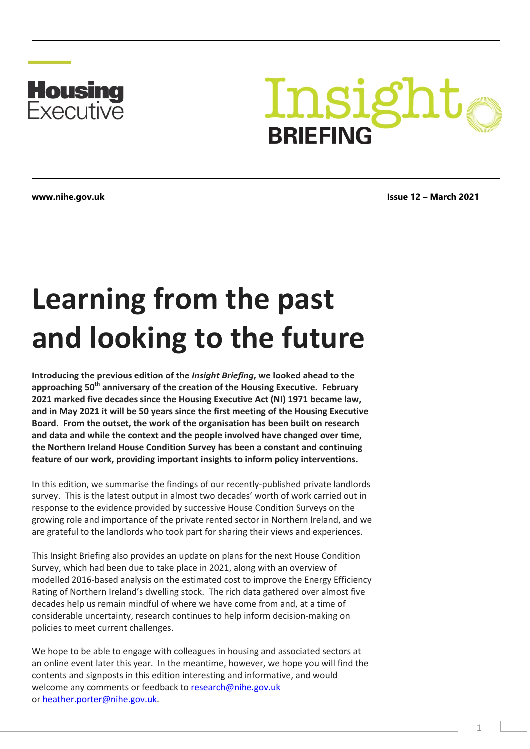

# Insight **BRIEFING**

**www.nihe.gov.uk Issue 12 – March 2021**

# **Learning from the past and looking to the future**

**Introducing the previous edition of the** *Insight Briefing***, we looked ahead to the approaching 50th anniversary of the creation of the Housing Executive. February 2021 marked five decades since the Housing Executive Act (NI) 1971 became law, and in May 2021 it will be 50 years since the first meeting of the Housing Executive Board. From the outset, the work of the organisation has been built on research and data and while the context and the people involved have changed over time, the Northern Ireland House Condition Survey has been a constant and continuing feature of our work, providing important insights to inform policy interventions.**

In this edition, we summarise the findings of our recently-published private landlords survey. This is the latest output in almost two decades' worth of work carried out in response to the evidence provided by successive House Condition Surveys on the growing role and importance of the private rented sector in Northern Ireland, and we are grateful to the landlords who took part for sharing their views and experiences.

This Insight Briefing also provides an update on plans for the next House Condition Survey, which had been due to take place in 2021, along with an overview of modelled 2016-based analysis on the estimated cost to improve the Energy Efficiency Rating of Northern Ireland's dwelling stock. The rich data gathered over almost five decades help us remain mindful of where we have come from and, at a time of considerable uncertainty, research continues to help inform decision-making on policies to meet current challenges.

We hope to be able to engage with colleagues in housing and associated sectors at an online event later this year. In the meantime, however, we hope you will find the contents and signposts in this edition interesting and informative, and would welcome any comments or feedback t[o research@nihe.gov.uk](mailto:research@nihe.gov.uk) or [heather.porter@nihe.gov.uk.](mailto:heather.porter@nihe.gov.uk)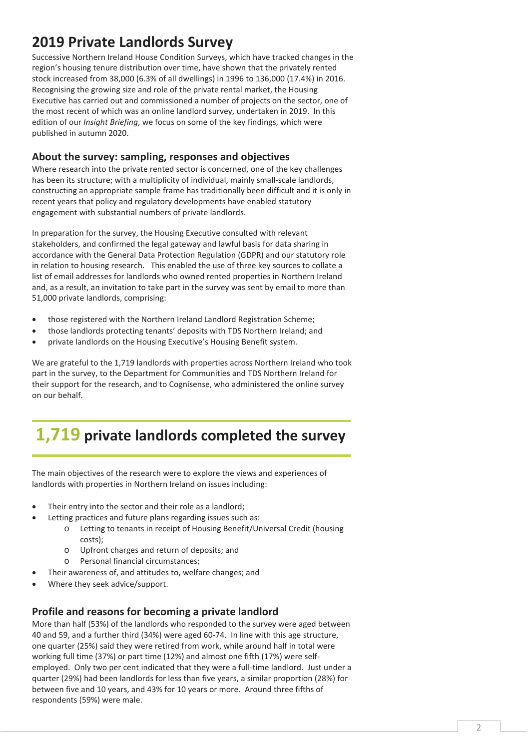## **2019 Private Landlords Survey**

Successive Northern Ireland House Condition Surveys, which have tracked changes in the region's housing tenure distribution over time, have shown that the privately rented stock increased from 38,000 (6.3% of all dwellings) in 1996 to 136,000 (17.4%) in 2016. Recognising the growing size and role of the private rental market, the Housing Executive has carried out and commissioned a number of projects on the sector, one of the most recent of which was an online landlord survey, undertaken in 2019. In this edition of our *Insight Briefing*, we focus on some of the key findings, which were published in autumn 2020.

#### **About the survey: sampling, responses and objectives**

Where research into the private rented sector is concerned, one of the key challenges has been its structure; with a multiplicity of individual, mainly small-scale landlords, constructing an appropriate sample frame has traditionally been difficult and it is only in recent years that policy and regulatory developments have enabled statutory engagement with substantial numbers of private landlords.

In preparation for the survey, the Housing Executive consulted with relevant stakeholders, and confirmed the legal gateway and lawful basis for data sharing in accordance with the General Data Protection Regulation (GDPR) and our statutory role in relation to housing research. This enabled the use of three key sources to collate a list of email addresses for landlords who owned rented properties in Northern Ireland and, as a result, an invitation to take part in the survey was sent by email to more than 51,000 private landlords, comprising:

- those registered with the Northern Ireland Landlord Registration Scheme;
- those landlords protecting tenants' deposits with TDS Northern Ireland; and
- private landlords on the Housing Executive's Housing Benefit system.

We are grateful to the 1,719 landlords with properties across Northern Ireland who took part in the survey, to the Department for Communities and TDS Northern Ireland for their support for the research, and to Cognisense, who administered the online survey on our behalf.

# **1,719 private landlords completed the survey**

The main objectives of the research were to explore the views and experiences of landlords with properties in Northern Ireland on issues including:

- Their entry into the sector and their role as a landlord;
- Letting practices and future plans regarding issues such as:
	- o Letting to tenants in receipt of Housing Benefit/Universal Credit (housing costs);
	- o Upfront charges and return of deposits; and
	- o Personal financial circumstances;
- Their awareness of, and attitudes to, welfare changes; and
- Where they seek advice/support.

#### **Profile and reasons for becoming a private landlord**

More than half (53%) of the landlords who responded to the survey were aged between 40 and 59, and a further third (34%) were aged 60-74. In line with this age structure, one quarter (25%) said they were retired from work, while around half in total were working full time (37%) or part time (12%) and almost one fifth (17%) were selfemployed. Only two per cent indicated that they were a full-time landlord. Just under a quarter (29%) had been landlords for less than five years, a similar proportion (28%) for between five and 10 years, and 43% for 10 years or more. Around three fifths of respondents (59%) were male.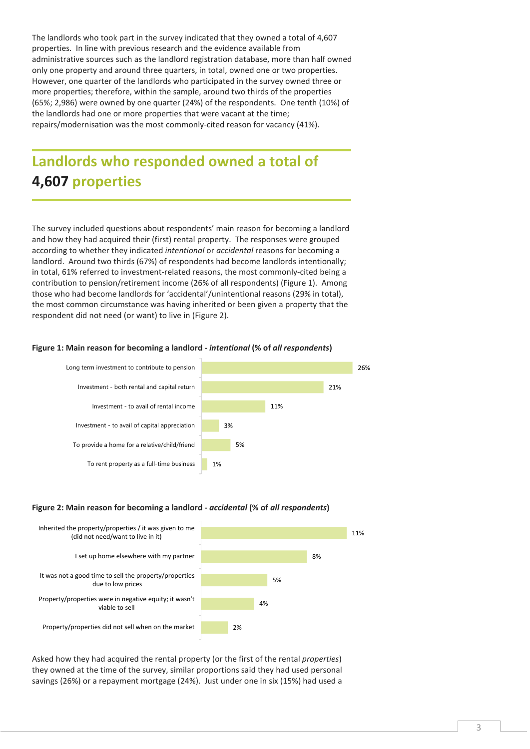The landlords who took part in the survey indicated that they owned a total of 4,607 properties. In line with previous research and the evidence available from administrative sources such as the landlord registration database, more than half owned only one property and around three quarters, in total, owned one or two properties. However, one quarter of the landlords who participated in the survey owned three or more properties; therefore, within the sample, around two thirds of the properties (65%; 2,986) were owned by one quarter (24%) of the respondents. One tenth (10%) of the landlords had one or more properties that were vacant at the time; repairs/modernisation was the most commonly-cited reason for vacancy (41%).

## **Landlords who responded owned a total of 4,607 properties**

The survey included questions about respondents' main reason for becoming a landlord and how they had acquired their (first) rental property. The responses were grouped according to whether they indicated *intentional* or *accidental* reasons for becoming a landlord. Around two thirds (67%) of respondents had become landlords intentionally; in total, 61% referred to investment-related reasons, the most commonly-cited being a contribution to pension/retirement income (26% of all respondents) (Figure 1). Among those who had become landlords for 'accidental'/unintentional reasons (29% in total), the most common circumstance was having inherited or been given a property that the respondent did not need (or want) to live in (Figure 2).

#### **Figure 1: Main reason for becoming a landlord -** *intentional* **(% of** *all respondents***)**



#### **Figure 2: Main reason for becoming a landlord -** *accidental* **(% of** *all respondents***)**



Asked how they had acquired the rental property (or the first of the rental *properties*) they owned at the time of the survey, similar proportions said they had used personal savings (26%) or a repayment mortgage (24%). Just under one in six (15%) had used a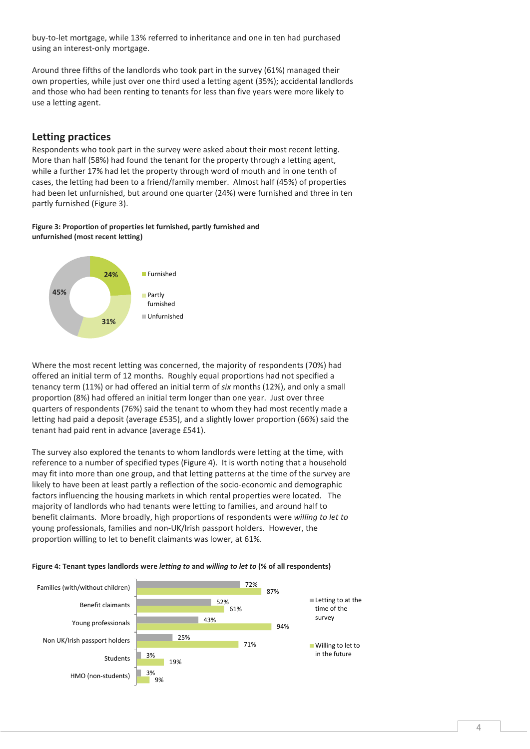buy-to-let mortgage, while 13% referred to inheritance and one in ten had purchased using an interest-only mortgage.

Around three fifths of the landlords who took part in the survey (61%) managed their own properties, while just over one third used a letting agent (35%); accidental landlords and those who had been renting to tenants for less than five years were more likely to use a letting agent.

#### **Letting practices**

Respondents who took part in the survey were asked about their most recent letting. More than half (58%) had found the tenant for the property through a letting agent, while a further 17% had let the property through word of mouth and in one tenth of cases, the letting had been to a friend/family member. Almost half (45%) of properties had been let unfurnished, but around one quarter (24%) were furnished and three in ten partly furnished (Figure 3).

#### **Figure 3: Proportion of properties let furnished, partly furnished and unfurnished (most recent letting)**



Where the most recent letting was concerned, the majority of respondents (70%) had offered an initial term of 12 months. Roughly equal proportions had not specified a tenancy term (11%) or had offered an initial term of *six* months (12%), and only a small proportion (8%) had offered an initial term longer than one year. Just over three quarters of respondents (76%) said the tenant to whom they had most recently made a letting had paid a deposit (average £535), and a slightly lower proportion (66%) said the tenant had paid rent in advance (average £541).

The survey also explored the tenants to whom landlords were letting at the time, with reference to a number of specified types (Figure 4). It is worth noting that a household may fit into more than one group, and that letting patterns at the time of the survey are likely to have been at least partly a reflection of the socio-economic and demographic factors influencing the housing markets in which rental properties were located. The majority of landlords who had tenants were letting to families, and around half to benefit claimants. More broadly, high proportions of respondents were *willing to let to* young professionals, families and non-UK/Irish passport holders. However, the proportion willing to let to benefit claimants was lower, at 61%.



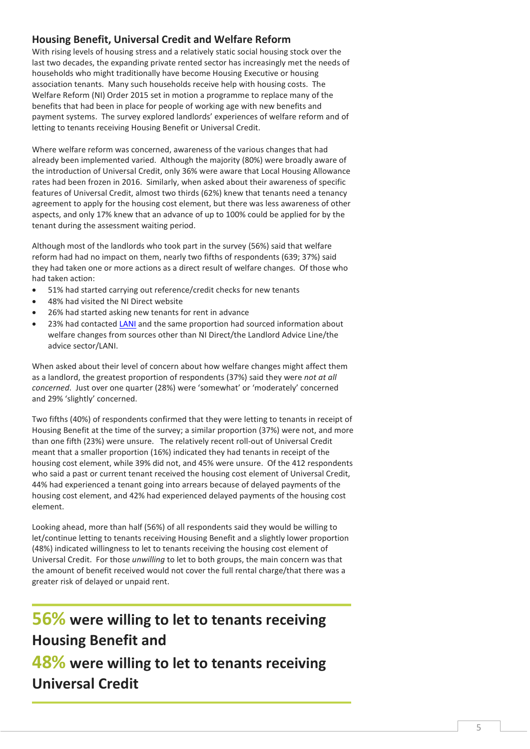#### **Housing Benefit, Universal Credit and Welfare Reform**

With rising levels of housing stress and a relatively static social housing stock over the last two decades, the expanding private rented sector has increasingly met the needs of households who might traditionally have become Housing Executive or housing association tenants. Many such households receive help with housing costs. The Welfare Reform (NI) Order 2015 set in motion a programme to replace many of the benefits that had been in place for people of working age with new benefits and payment systems. The survey explored landlords' experiences of welfare reform and of letting to tenants receiving Housing Benefit or Universal Credit.

Where welfare reform was concerned, awareness of the various changes that had already been implemented varied. Although the majority (80%) were broadly aware of the introduction of Universal Credit, only 36% were aware that Local Housing Allowance rates had been frozen in 2016. Similarly, when asked about their awareness of specific features of Universal Credit, almost two thirds (62%) knew that tenants need a tenancy agreement to apply for the housing cost element, but there was less awareness of other aspects, and only 17% knew that an advance of up to 100% could be applied for by the tenant during the assessment waiting period.

Although most of the landlords who took part in the survey (56%) said that welfare reform had had no impact on them, nearly two fifths of respondents (639; 37%) said they had taken one or more actions as a direct result of welfare changes. Of those who had taken action:

- 51% had started carrying out reference/credit checks for new tenants
- 48% had visited the NI Direct website
- 26% had started asking new tenants for rent in advance
- 23% had contacted [LANI](https://www.lani.org.uk/) and the same proportion had sourced information about welfare changes from sources other than NI Direct/the Landlord Advice Line/the advice sector/LANI.

When asked about their level of concern about how welfare changes might affect them as a landlord, the greatest proportion of respondents (37%) said they were *not at all concerned*. Just over one quarter (28%) were 'somewhat' or 'moderately' concerned and 29% 'slightly' concerned.

Two fifths (40%) of respondents confirmed that they were letting to tenants in receipt of Housing Benefit at the time of the survey; a similar proportion (37%) were not, and more than one fifth (23%) were unsure. The relatively recent roll-out of Universal Credit meant that a smaller proportion (16%) indicated they had tenants in receipt of the housing cost element, while 39% did not, and 45% were unsure. Of the 412 respondents who said a past or current tenant received the housing cost element of Universal Credit, 44% had experienced a tenant going into arrears because of delayed payments of the housing cost element, and 42% had experienced delayed payments of the housing cost element.

Looking ahead, more than half (56%) of all respondents said they would be willing to let/continue letting to tenants receiving Housing Benefit and a slightly lower proportion (48%) indicated willingness to let to tenants receiving the housing cost element of Universal Credit. For those *unwilling* to let to both groups, the main concern was that the amount of benefit received would not cover the full rental charge/that there was a greater risk of delayed or unpaid rent.

# **56% were willing to let to tenants receiving Housing Benefit and 48% were willing to let to tenants receiving Universal Credit**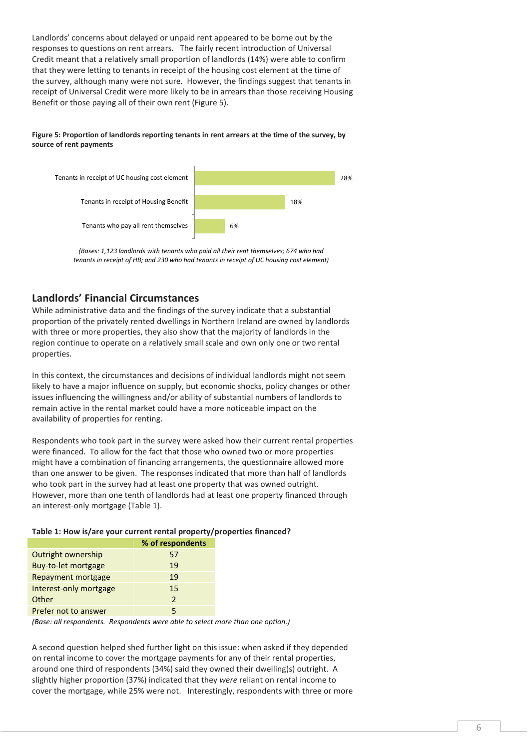Landlords' concerns about delayed or unpaid rent appeared to be borne out by the responses to questions on rent arrears. The fairly recent introduction of Universal Credit meant that a relatively small proportion of landlords (14%) were able to confirm that they were letting to tenants in receipt of the housing cost element at the time of the survey, although many were not sure. However, the findings suggest that tenants in receipt of Universal Credit were more likely to be in arrears than those receiving Housing Benefit or those paying all of their own rent (Figure 5).

#### **Figure 5: Proportion of landlords reporting tenants in rent arrears at the time of the survey, by source of rent payments**



*(Bases: 1,123 landlords with tenants who paid all their rent themselves; 674 who had tenants in receipt of HB; and 230 who had tenants in receipt of UC housing cost element)* 

#### **Landlords' Financial Circumstances**

While administrative data and the findings of the survey indicate that a substantial proportion of the privately rented dwellings in Northern Ireland are owned by landlords with three or more properties, they also show that the majority of landlords in the region continue to operate on a relatively small scale and own only one or two rental properties.

In this context, the circumstances and decisions of individual landlords might not seem likely to have a major influence on supply, but economic shocks, policy changes or other issues influencing the willingness and/or ability of substantial numbers of landlords to remain active in the rental market could have a more noticeable impact on the availability of properties for renting.

Respondents who took part in the survey were asked how their current rental properties were financed. To allow for the fact that those who owned two or more properties might have a combination of financing arrangements, the questionnaire allowed more than one answer to be given. The responses indicated that more than half of landlords who took part in the survey had at least one property that was owned outright. However, more than one tenth of landlords had at least one property financed through an interest-only mortgage (Table 1).

#### **Table 1: How is/are your current rental property/properties financed?**

|                        | % of respondents |
|------------------------|------------------|
| Outright ownership     | 57               |
| Buy-to-let mortgage    | 19               |
| Repayment mortgage     | 19               |
| Interest-only mortgage | 15               |
| Other                  | $\mathcal{P}$    |
| Prefer not to answer   |                  |

*(Base: all respondents. Respondents were able to select more than one option.)* 

A second question helped shed further light on this issue: when asked if they depended on rental income to cover the mortgage payments for any of their rental properties, around one third of respondents (34%) said they owned their dwelling(s) outright. A slightly higher proportion (37%) indicated that they *were* reliant on rental income to cover the mortgage, while 25% were not. Interestingly, respondents with three or more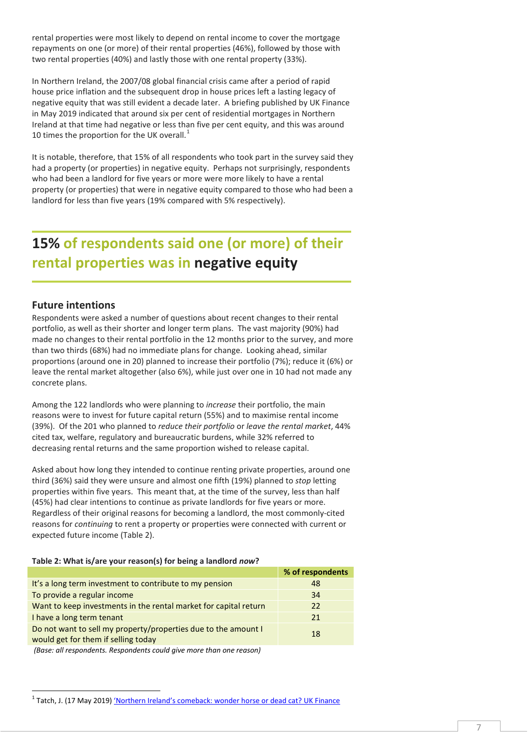rental properties were most likely to depend on rental income to cover the mortgage repayments on one (or more) of their rental properties (46%), followed by those with two rental properties (40%) and lastly those with one rental property (33%).

In Northern Ireland, the 2007/08 global financial crisis came after a period of rapid house price inflation and the subsequent drop in house prices left a lasting legacy of negative equity that was still evident a decade later. A briefing published by UK Finance in May 2019 indicated that around six per cent of residential mortgages in Northern Ireland at that time had negative or less than five per cent equity, and this was around [1](#page-6-0)0 times the proportion for the UK overall. $<sup>1</sup>$ </sup>

It is notable, therefore, that 15% of all respondents who took part in the survey said they had a property (or properties) in negative equity. Perhaps not surprisingly, respondents who had been a landlord for five years or more were more likely to have a rental property (or properties) that were in negative equity compared to those who had been a landlord for less than five years (19% compared with 5% respectively).

# **15% of respondents said one (or more) of their rental properties was in negative equity**

#### **Future intentions**

<u>.</u>

Respondents were asked a number of questions about recent changes to their rental portfolio, as well as their shorter and longer term plans. The vast majority (90%) had made no changes to their rental portfolio in the 12 months prior to the survey, and more than two thirds (68%) had no immediate plans for change. Looking ahead, similar proportions (around one in 20) planned to increase their portfolio (7%); reduce it (6%) or leave the rental market altogether (also 6%), while just over one in 10 had not made any concrete plans.

Among the 122 landlords who were planning to *increase* their portfolio, the main reasons were to invest for future capital return (55%) and to maximise rental income (39%). Of the 201 who planned to *reduce their portfolio* or *leave the rental market*, 44% cited tax, welfare, regulatory and bureaucratic burdens, while 32% referred to decreasing rental returns and the same proportion wished to release capital.

Asked about how long they intended to continue renting private properties, around one third (36%) said they were unsure and almost one fifth (19%) planned to *stop* letting properties within five years. This meant that, at the time of the survey, less than half (45%) had clear intentions to continue as private landlords for five years or more. Regardless of their original reasons for becoming a landlord, the most commonly-cited reasons for *continuing* to rent a property or properties were connected with current or expected future income (Table 2).

#### **Table 2: What is/are your reason(s) for being a landlord** *now***?**

|                                                                                                                                                                                                                                                                                               | % of respondents |
|-----------------------------------------------------------------------------------------------------------------------------------------------------------------------------------------------------------------------------------------------------------------------------------------------|------------------|
| It's a long term investment to contribute to my pension                                                                                                                                                                                                                                       | 48               |
| To provide a regular income                                                                                                                                                                                                                                                                   | 34               |
| Want to keep investments in the rental market for capital return                                                                                                                                                                                                                              | 22               |
| I have a long term tenant                                                                                                                                                                                                                                                                     | 21               |
| Do not want to sell my property/properties due to the amount I<br>would get for them if selling today                                                                                                                                                                                         | 18               |
| $\sqrt{2}$ , $\sqrt{2}$ , $\sqrt{2}$ , $\sqrt{2}$ , $\sqrt{2}$ , $\sqrt{2}$ , $\sqrt{2}$ , $\sqrt{2}$ , $\sqrt{2}$ , $\sqrt{2}$ , $\sqrt{2}$ , $\sqrt{2}$ , $\sqrt{2}$ , $\sqrt{2}$ , $\sqrt{2}$ , $\sqrt{2}$ , $\sqrt{2}$ , $\sqrt{2}$ , $\sqrt{2}$ , $\sqrt{2}$ , $\sqrt{2}$ , $\sqrt{2}$ , |                  |

*(Base: all respondents. Respondents could give more than one reason)*

<span id="page-6-0"></span><sup>&</sup>lt;sup>1</sup> Tatch, J. (17 May 2019) 'Northern Ireland's comeback: wonder horse or dead cat? UK Finance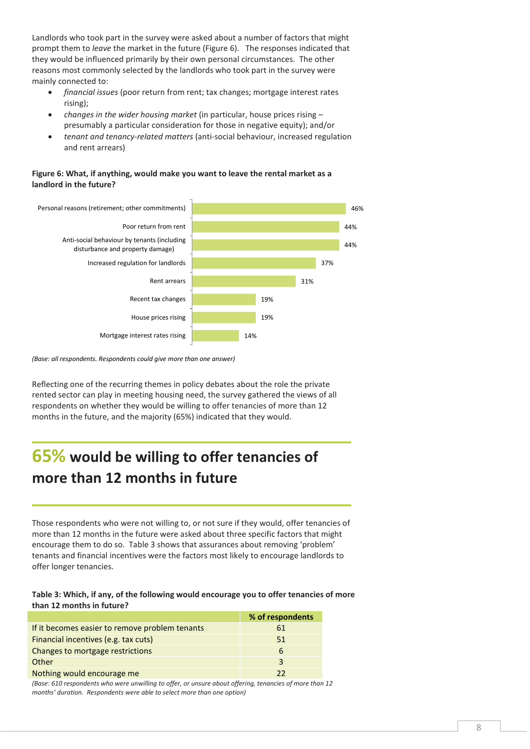Landlords who took part in the survey were asked about a number of factors that might prompt them to *leave* the market in the future (Figure 6). The responses indicated that they would be influenced primarily by their own personal circumstances. The other reasons most commonly selected by the landlords who took part in the survey were mainly connected to:

- *financial issues* (poor return from rent; tax changes; mortgage interest rates rising);
- *changes in the wider housing market* (in particular, house prices rising presumably a particular consideration for those in negative equity); and/or
- *tenant and tenancy-related matters* (anti-social behaviour, increased regulation and rent arrears)

#### **Figure 6: What, if anything, would make you want to leave the rental market as a landlord in the future?**



*(Base: all respondents. Respondents could give more than one answer)*

Reflecting one of the recurring themes in policy debates about the role the private rented sector can play in meeting housing need, the survey gathered the views of all respondents on whether they would be willing to offer tenancies of more than 12 months in the future, and the majority (65%) indicated that they would.

# **65% would be willing to offer tenancies of more than 12 months in future**

Those respondents who were not willing to, or not sure if they would, offer tenancies of more than 12 months in the future were asked about three specific factors that might encourage them to do so. Table 3 shows that assurances about removing 'problem' tenants and financial incentives were the factors most likely to encourage landlords to offer longer tenancies.

#### **Table 3: Which, if any, of the following would encourage you to offer tenancies of more than 12 months in future?**

|                                                | % of respondents |
|------------------------------------------------|------------------|
| If it becomes easier to remove problem tenants | 61               |
| Financial incentives (e.g. tax cuts)           | 51               |
| Changes to mortgage restrictions               | 6                |
| Other                                          | $\mathbf{R}$     |
| Nothing would encourage me                     | つつ               |

*(Base: 610 respondents who were unwilling to offer, or unsure about offering, tenancies of more than 12 months' duration. Respondents were able to select more than one option)*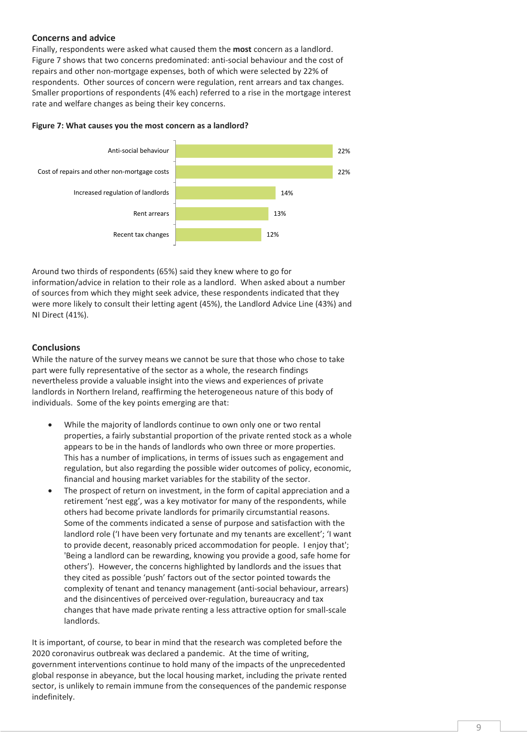#### **Concerns and advice**

Finally, respondents were asked what caused them the **most** concern as a landlord. Figure 7 shows that two concerns predominated: anti-social behaviour and the cost of repairs and other non-mortgage expenses, both of which were selected by 22% of respondents. Other sources of concern were regulation, rent arrears and tax changes. Smaller proportions of respondents (4% each) referred to a rise in the mortgage interest rate and welfare changes as being their key concerns.

#### **Figure 7: What causes you the most concern as a landlord?**



Around two thirds of respondents (65%) said they knew where to go for information/advice in relation to their role as a landlord. When asked about a number of sources from which they might seek advice, these respondents indicated that they were more likely to consult their letting agent (45%), the Landlord Advice Line (43%) and NI Direct (41%).

#### **Conclusions**

While the nature of the survey means we cannot be sure that those who chose to take part were fully representative of the sector as a whole, the research findings nevertheless provide a valuable insight into the views and experiences of private landlords in Northern Ireland, reaffirming the heterogeneous nature of this body of individuals. Some of the key points emerging are that:

- While the majority of landlords continue to own only one or two rental properties, a fairly substantial proportion of the private rented stock as a whole appears to be in the hands of landlords who own three or more properties. This has a number of implications, in terms of issues such as engagement and regulation, but also regarding the possible wider outcomes of policy, economic, financial and housing market variables for the stability of the sector.
- The prospect of return on investment, in the form of capital appreciation and a retirement 'nest egg', was a key motivator for many of the respondents, while others had become private landlords for primarily circumstantial reasons. Some of the comments indicated a sense of purpose and satisfaction with the landlord role ('I have been very fortunate and my tenants are excellent'; 'I want to provide decent, reasonably priced accommodation for people. I enjoy that'; 'Being a landlord can be rewarding, knowing you provide a good, safe home for others'). However, the concerns highlighted by landlords and the issues that they cited as possible 'push' factors out of the sector pointed towards the complexity of tenant and tenancy management (anti-social behaviour, arrears) and the disincentives of perceived over-regulation, bureaucracy and tax changes that have made private renting a less attractive option for small-scale landlords.

It is important, of course, to bear in mind that the research was completed before the 2020 coronavirus outbreak was declared a pandemic. At the time of writing, government interventions continue to hold many of the impacts of the unprecedented global response in abeyance, but the local housing market, including the private rented sector, is unlikely to remain immune from the consequences of the pandemic response indefinitely.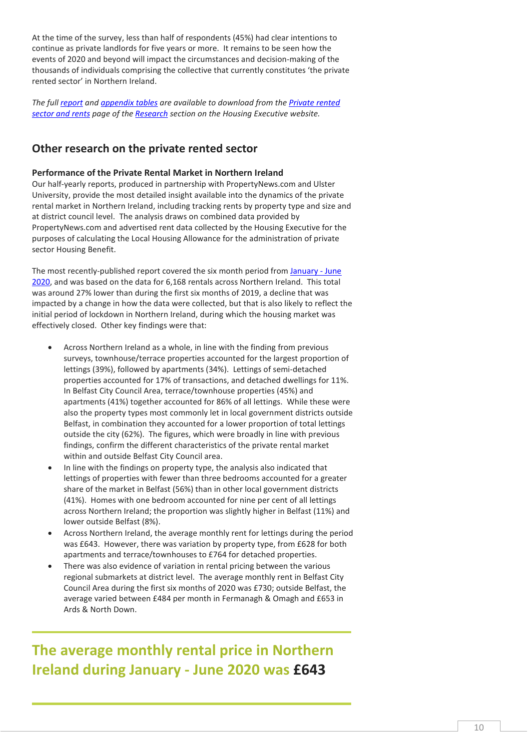At the time of the survey, less than half of respondents (45%) had clear intentions to continue as private landlords for five years or more. It remains to be seen how the events of 2020 and beyond will impact the circumstances and decision-making of the thousands of individuals comprising the collective that currently constitutes 'the private rented sector' in Northern Ireland.

*The full [report](https://www.nihe.gov.uk/Documents/Research/Private-Landlords-Survey/survey-of-private-landlords-2019-key-findings-repo.aspx) and [appendix tables](http://www.nihe.gov.uk/Documents/Research/Private-Landlords-Survey/seruvey-of-private-landlords-2019-appendix-tables.aspx) are available to download from th[e Private rented](https://www.nihe.gov.uk/Working-With-Us/Research/Private-rented-sector-and-rents)  [sector and rents](https://www.nihe.gov.uk/Working-With-Us/Research/Private-rented-sector-and-rents) page of the [Research](https://www.nihe.gov.uk/Working-With-Us/Research) section on the Housing Executive website.*

#### **Other research on the private rented sector**

#### **Performance of the Private Rental Market in Northern Ireland**

Our half-yearly reports, produced in partnership with PropertyNews.com and Ulster University, provide the most detailed insight available into the dynamics of the private rental market in Northern Ireland, including tracking rents by property type and size and at district council level. The analysis draws on combined data provided by PropertyNews.com and advertised rent data collected by the Housing Executive for the purposes of calculating the Local Housing Allowance for the administration of private sector Housing Benefit.

The most recently-published report covered the six month period from January - June [2020,](https://www.nihe.gov.uk/Documents/Research/Private-Rental-Market-CURRENT/performance-private-rental-market-NI-january-june.aspx?ext=.) and was based on the data for 6,168 rentals across Northern Ireland. This total was around 27% lower than during the first six months of 2019, a decline that was impacted by a change in how the data were collected, but that is also likely to reflect the initial period of lockdown in Northern Ireland, during which the housing market was effectively closed. Other key findings were that:

- Across Northern Ireland as a whole, in line with the finding from previous surveys, townhouse/terrace properties accounted for the largest proportion of lettings (39%), followed by apartments (34%). Lettings of semi-detached properties accounted for 17% of transactions, and detached dwellings for 11%. In Belfast City Council Area, terrace/townhouse properties (45%) and apartments (41%) together accounted for 86% of all lettings. While these were also the property types most commonly let in local government districts outside Belfast, in combination they accounted for a lower proportion of total lettings outside the city (62%). The figures, which were broadly in line with previous findings, confirm the different characteristics of the private rental market within and outside Belfast City Council area.
- In line with the findings on property type, the analysis also indicated that lettings of properties with fewer than three bedrooms accounted for a greater share of the market in Belfast (56%) than in other local government districts (41%). Homes with one bedroom accounted for nine per cent of all lettings across Northern Ireland; the proportion was slightly higher in Belfast (11%) and lower outside Belfast (8%).
- Across Northern Ireland, the average monthly rent for lettings during the period was £643. However, there was variation by property type, from £628 for both apartments and terrace/townhouses to £764 for detached properties.
- There was also evidence of variation in rental pricing between the various regional submarkets at district level. The average monthly rent in Belfast City Council Area during the first six months of 2020 was £730; outside Belfast, the average varied between £484 per month in Fermanagh & Omagh and £653 in Ards & North Down.

**The average monthly rental price in Northern Ireland during January - June 2020 was £643**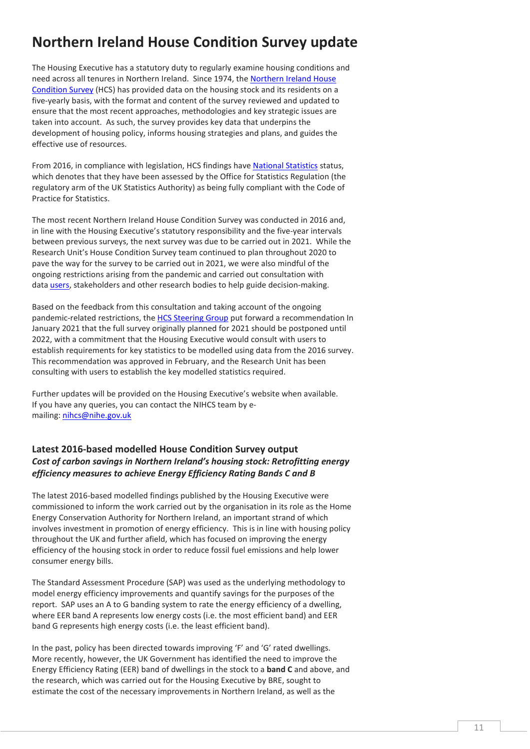## **Northern Ireland House Condition Survey update**

The Housing Executive has a statutory duty to regularly examine housing conditions and need across all tenures in Northern Ireland. Since 1974, th[e Northern Ireland House](https://www.nihe.gov.uk/Working-With-Us/Research/House-Condition-Survey)  [Condition Survey](https://www.nihe.gov.uk/Working-With-Us/Research/House-Condition-Survey) (HCS) has provided data on the housing stock and its residents on a five-yearly basis, with the format and content of the survey reviewed and updated to ensure that the most recent approaches, methodologies and key strategic issues are taken into account. As such, the survey provides key data that underpins the development of housing policy, informs housing strategies and plans, and guides the effective use of resources.

From 2016, in compliance with legislation, HCS findings hav[e National Statistics](https://www.nihe.gov.uk/Working-With-Us/Research/National-Statistics-Protocols-and-Compliance) status, which denotes that they have been assessed by the Office for Statistics Regulation (the regulatory arm of the UK Statistics Authority) as being fully compliant with the Code of Practice for Statistics.

The most recent Northern Ireland House Condition Survey was conducted in 2016 and, in line with the Housing Executive's statutory responsibility and the five-year intervals between previous surveys, the next survey was due to be carried out in 2021. While the Research Unit's House Condition Survey team continued to plan throughout 2020 to pave the way for the survey to be carried out in 2021, we were also mindful of the ongoing restrictions arising from the pandemic and carried out consultation with data *users*, stakeholders and other research bodies to help guide decision-making.

Based on the feedback from this consultation and taking account of the ongoing pandemic-related restrictions, the [HCS Steering Group](https://www.nihe.gov.uk/Working-With-Us/Research/House-Condition-Survey-Steering-Group) put forward a recommendation In January 2021 that the full survey originally planned for 2021 should be postponed until 2022, with a commitment that the Housing Executive would consult with users to establish requirements for key statistics to be modelled using data from the 2016 survey. This recommendation was approved in February, and the Research Unit has been consulting with users to establish the key modelled statistics required.

Further updates will be provided on the Housing Executive's website when available. If you have any queries, you can contact the NIHCS team by emailing[: nihcs@nihe.gov.uk](mailto:nihcs@nihe.gov.uk)

#### **Latest 2016-based modelled House Condition Survey output** *Cost of carbon savings in Northern Ireland's housing stock: Retrofitting energy efficiency measures to achieve Energy Efficiency Rating Bands C and B*

The latest 2016-based modelled findings published by the Housing Executive were commissioned to inform the work carried out by the organisation in its role as the Home Energy Conservation Authority for Northern Ireland, an important strand of which involves investment in promotion of energy efficiency. This is in line with housing policy throughout the UK and further afield, which has focused on improving the energy efficiency of the housing stock in order to reduce fossil fuel emissions and help lower consumer energy bills.

The Standard Assessment Procedure (SAP) was used as the underlying methodology to model energy efficiency improvements and quantify savings for the purposes of the report. SAP uses an A to G banding system to rate the energy efficiency of a dwelling, where EER band A represents low energy costs (i.e. the most efficient band) and EER band G represents high energy costs (i.e. the least efficient band).

In the past, policy has been directed towards improving 'F' and 'G' rated dwellings. More recently, however, the UK Government has identified the need to improve the Energy Efficiency Rating (EER) band of dwellings in the stock to a **band C** and above, and the research, which was carried out for the Housing Executive by BRE, sought to estimate the cost of the necessary improvements in Northern Ireland, as well as the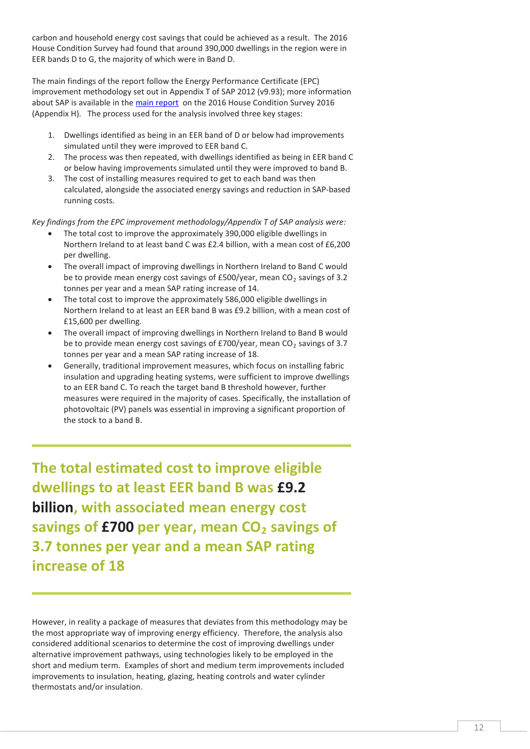carbon and household energy cost savings that could be achieved as a result. The 2016 House Condition Survey had found that around 390,000 dwellings in the region were in EER bands D to G, the majority of which were in Band D.

The main findings of the report follow the Energy Performance Certificate (EPC) improvement methodology set out in Appendix T of SAP 2012 (v9.93); more information about SAP is available in th[e main report](https://www.nihe.gov.uk/Documents/Research/HCS-2016-Main-Reports/HCS-Main-Report-2016.aspx) on the 2016 House Condition Survey 2016 (Appendix H). The process used for the analysis involved three key stages:

- 1. Dwellings identified as being in an EER band of D or below had improvements simulated until they were improved to EER band C.
- 2. The process was then repeated, with dwellings identified as being in EER band C or below having improvements simulated until they were improved to band B.
- 3. The cost of installing measures required to get to each band was then calculated, alongside the associated energy savings and reduction in SAP-based running costs.

*Key findings from the EPC improvement methodology/Appendix T of SAP analysis were:*

- The total cost to improve the approximately 390,000 eligible dwellings in Northern Ireland to at least band C was £2.4 billion, with a mean cost of £6,200 per dwelling.
- The overall impact of improving dwellings in Northern Ireland to Band C would be to provide mean energy cost savings of £500/year, mean  $CO<sub>2</sub>$  savings of 3.2 tonnes per year and a mean SAP rating increase of 14.
- The total cost to improve the approximately 586,000 eligible dwellings in Northern Ireland to at least an EER band B was £9.2 billion, with a mean cost of £15,600 per dwelling.
- The overall impact of improving dwellings in Northern Ireland to Band B would be to provide mean energy cost savings of £700/year, mean  $CO<sub>2</sub>$  savings of 3.7 tonnes per year and a mean SAP rating increase of 18.
- Generally, traditional improvement measures, which focus on installing fabric insulation and upgrading heating systems, were sufficient to improve dwellings to an EER band C. To reach the target band B threshold however, further measures were required in the majority of cases. Specifically, the installation of photovoltaic (PV) panels was essential in improving a significant proportion of the stock to a band B.

**The total estimated cost to improve eligible dwellings to at least EER band B was £9.2 billion, with associated mean energy cost savings of £700 per year, mean CO<sub>2</sub> savings of 3.7 tonnes per year and a mean SAP rating increase of 18**

However, in reality a package of measures that deviates from this methodology may be the most appropriate way of improving energy efficiency. Therefore, the analysis also considered additional scenarios to determine the cost of improving dwellings under alternative improvement pathways, using technologies likely to be employed in the short and medium term. Examples of short and medium term improvements included improvements to insulation, heating, glazing, heating controls and water cylinder thermostats and/or insulation.